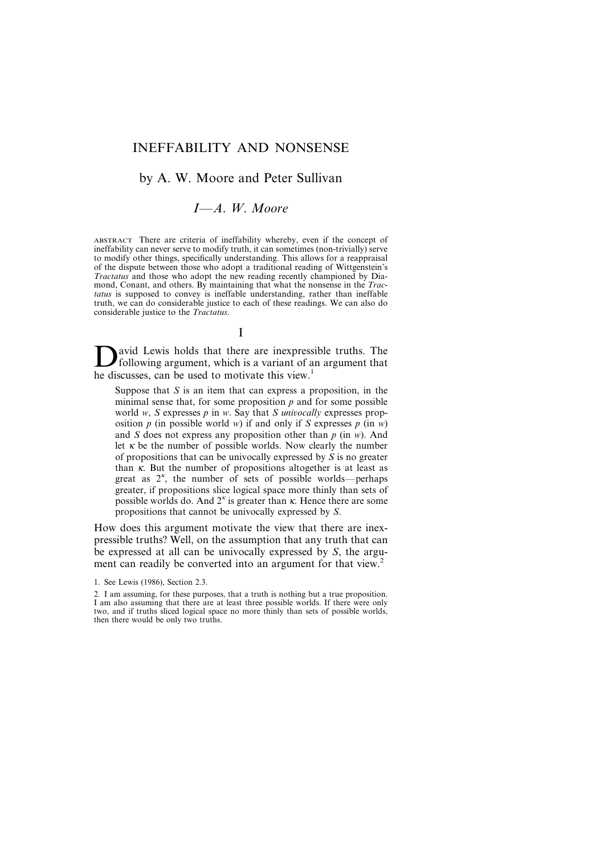## INEFFABILITY AND NONSENSE

## by A. W. Moore and Peter Sullivan

# *I*—*A*. *W*. *Moore*

ABSTRACT There are criteria of ineffability whereby, even if the concept of ineffability can never serve to modify truth, it can sometimes (non-trivially) serve to modify other things, specifically understanding. This allows for a reappraisal of the dispute between those who adopt a traditional reading of Wittgenstein's *Tractatus* and those who adopt the new reading recently championed by Diamond, Conant, and others. By maintaining that what the nonsense in the *Tractatus* is supposed to convey is ineffable understanding, rather than ineffable truth, we can do considerable justice to each of these readings. We can also do considerable justice to the *Tractatus*.

## I

avid Lewis holds that there are inexpressible truths. The following argument, which is a variant of an argument that he discusses, can be used to motivate this view.<sup>1</sup>

Suppose that *S* is an item that can express a proposition, in the minimal sense that, for some proposition *p* and for some possible world *w*, *S* expresses *p* in *w*. Say that *S univocally* expresses proposition *p* (in possible world *w*) if and only if *S* expresses *p* (in *w*) and *S* does not express any proposition other than *p* (in *w*). And let  $\kappa$  be the number of possible worlds. Now clearly the number of propositions that can be univocally expressed by *S* is no greater than  $\kappa$ . But the number of propositions altogether is at least as great as  $2^k$ , the number of sets of possible worlds—perhaps greater, if propositions slice logical space more thinly than sets of possible worlds do. And  $2^k$  is greater than  $\kappa$ . Hence there are some propositions that cannot be univocally expressed by *S*.

How does this argument motivate the view that there are inexpressible truths? Well, on the assumption that any truth that can be expressed at all can be univocally expressed by *S*, the argument can readily be converted into an argument for that view. $2^2$ 

<sup>1.</sup> See Lewis (1986), Section 2.3.

<sup>2.</sup> I am assuming, for these purposes, that a truth is nothing but a true proposition. I am also assuming that there are at least three possible worlds. If there were only two, and if truths sliced logical space no more thinly than sets of possible worlds, then there would be only two truths.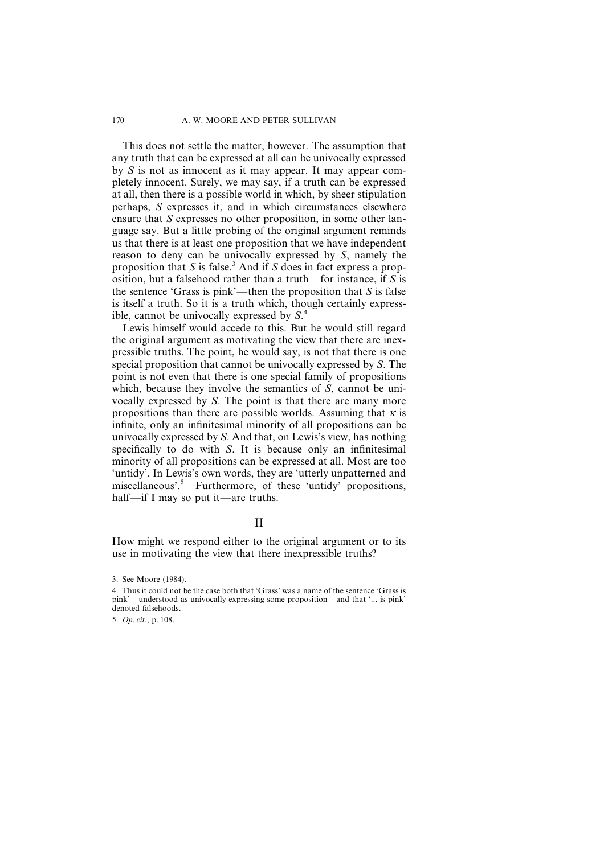This does not settle the matter, however. The assumption that any truth that can be expressed at all can be univocally expressed by *S* is not as innocent as it may appear. It may appear completely innocent. Surely, we may say, if a truth can be expressed at all, then there is a possible world in which, by sheer stipulation perhaps, *S* expresses it, and in which circumstances elsewhere ensure that *S* expresses no other proposition, in some other language say. But a little probing of the original argument reminds us that there is at least one proposition that we have independent reason to deny can be univocally expressed by *S*, namely the proposition that *S* is false.<sup>3</sup> And if *S* does in fact express a proposition, but a falsehood rather than a truth—for instance, if *S* is the sentence 'Grass is pink'—then the proposition that *S* is false is itself a truth. So it is a truth which, though certainly expressible, cannot be univocally expressed by *S*. 4

Lewis himself would accede to this. But he would still regard the original argument as motivating the view that there are inexpressible truths. The point, he would say, is not that there is one special proposition that cannot be univocally expressed by *S*. The point is not even that there is one special family of propositions which, because they involve the semantics of *S*, cannot be univocally expressed by *S*. The point is that there are many more propositions than there are possible worlds. Assuming that  $\kappa$  is infinite, only an infinitesimal minority of all propositions can be univocally expressed by *S*. And that, on Lewis's view, has nothing specifically to do with *S*. It is because only an infinitesimal minority of all propositions can be expressed at all. Most are too 'untidy'. In Lewis's own words, they are 'utterly unpatterned and miscellaneous'. <sup>5</sup> Furthermore, of these 'untidy' propositions, half—if I may so put it—are truths.

## II

How might we respond either to the original argument or to its use in motivating the view that there inexpressible truths?

<sup>3.</sup> See Moore (1984).

<sup>4.</sup> Thus it could not be the case both that 'Grass' was a name of the sentence 'Grass is pink'—understood as univocally expressing some proposition—and that '... is pink' denoted falsehoods.

<sup>5.</sup> *Op*. *cit*., p. 108.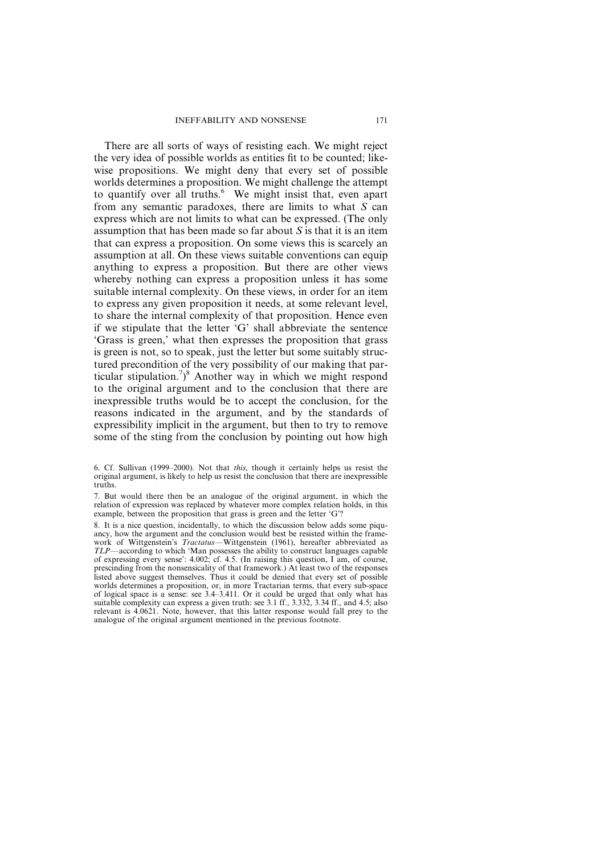There are all sorts of ways of resisting each. We might reject the very idea of possible worlds as entities fit to be counted; likewise propositions. We might deny that every set of possible worlds determines a proposition. We might challenge the attempt to quantify over all truths. $6\,$  We might insist that, even apart from any semantic paradoxes, there are limits to what *S* can express which are not limits to what can be expressed. (The only assumption that has been made so far about *S* is that it is an item that can express a proposition. On some views this is scarcely an assumption at all. On these views suitable conventions can equip anything to express a proposition. But there are other views whereby nothing can express a proposition unless it has some suitable internal complexity. On these views, in order for an item to express any given proposition it needs, at some relevant level, to share the internal complexity of that proposition. Hence even if we stipulate that the letter 'G' shall abbreviate the sentence 'Grass is green,' what then expresses the proposition that grass is green is not, so to speak, just the letter but some suitably structured precondition of the very possibility of our making that particular stipulation.<sup>7</sup>)<sup>8</sup> Another way in which we might respond to the original argument and to the conclusion that there are inexpressible truths would be to accept the conclusion, for the reasons indicated in the argument, and by the standards of expressibility implicit in the argument, but then to try to remove some of the sting from the conclusion by pointing out how high

<sup>6.</sup> Cf. Sullivan (1999–2000). Not that *this*, though it certainly helps us resist the original argument, is likely to help us resist the conclusion that there are inexpressible truths.

<sup>7.</sup> But would there then be an analogue of the original argument, in which the relation of expression was replaced by whatever more complex relation holds, in this example, between the proposition that grass is green and the letter 'G'?

<sup>8.</sup> It is a nice question, incidentally, to which the discussion below adds some piquancy, how the argument and the conclusion would best be resisted within the framework of Wittgenstein's *Tractatus*—Wittgenstein (1961), hereafter abbreviated as *TLP*—according to which 'Man possesses the ability to construct languages capable of expressing every sense': 4.002; cf. 4.5. (In raising this question, I am, of course, prescinding from the nonsensicality of that framework.) At least two of the responses listed above suggest themselves. Thus it could be denied that every set of possible worlds determines a proposition, or, in more Tractarian terms, that every sub-space of logical space is a sense: see  $3.4-3.411$ . Or it could be urged that only what has suitable complexity can express a given truth: see 3.1 ff., 3.332, 3.34 ff., and 4.5; also relevant is 4.0621. Note, however, that this latter response would fall prey to the analogue of the original argument mentioned in the previous footnote.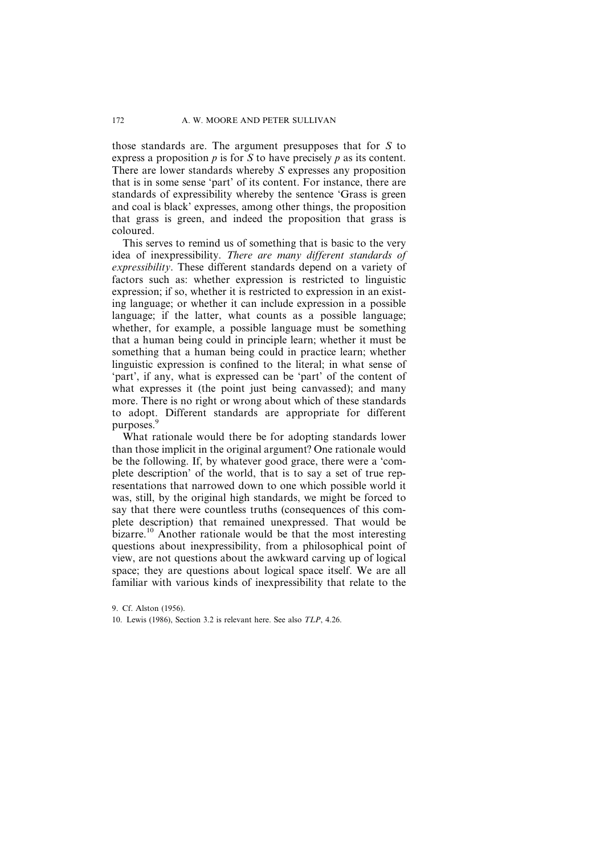those standards are. The argument presupposes that for *S* to express a proposition *p* is for *S* to have precisely *p* as its content. There are lower standards whereby *S* expresses any proposition that is in some sense 'part' of its content. For instance, there are standards of expressibility whereby the sentence 'Grass is green and coal is black' expresses, among other things, the proposition that grass is green, and indeed the proposition that grass is coloured.

This serves to remind us of something that is basic to the very idea of inexpressibility. *There are many different standards of expressibility*. These different standards depend on a variety of factors such as: whether expression is restricted to linguistic expression; if so, whether it is restricted to expression in an existing language; or whether it can include expression in a possible language; if the latter, what counts as a possible language; whether, for example, a possible language must be something that a human being could in principle learn; whether it must be something that a human being could in practice learn; whether linguistic expression is confined to the literal; in what sense of 'part', if any, what is expressed can be 'part' of the content of what expresses it (the point just being canvassed); and many more. There is no right or wrong about which of these standards to adopt. Different standards are appropriate for different purposes.<sup>9</sup>

What rationale would there be for adopting standards lower than those implicit in the original argument? One rationale would be the following. If, by whatever good grace, there were a 'complete description' of the world, that is to say a set of true representations that narrowed down to one which possible world it was, still, by the original high standards, we might be forced to say that there were countless truths (consequences of this complete description) that remained unexpressed. That would be bizarre.<sup>10</sup> Another rationale would be that the most interesting questions about inexpressibility, from a philosophical point of view, are not questions about the awkward carving up of logical space; they are questions about logical space itself. We are all familiar with various kinds of inexpressibility that relate to the

<sup>9.</sup> Cf. Alston (1956).

<sup>10.</sup> Lewis (1986), Section 3.2 is relevant here. See also *TLP*, 4.26.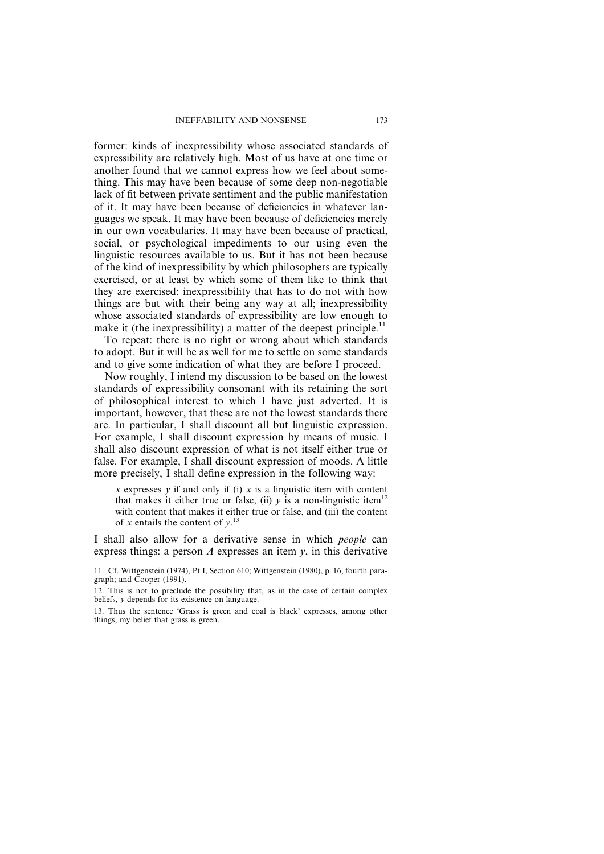former: kinds of inexpressibility whose associated standards of expressibility are relatively high. Most of us have at one time or another found that we cannot express how we feel about something. This may have been because of some deep non-negotiable lack of fit between private sentiment and the public manifestation of it. It may have been because of deficiencies in whatever languages we speak. It may have been because of deficiencies merely in our own vocabularies. It may have been because of practical, social, or psychological impediments to our using even the linguistic resources available to us. But it has not been because of the kind of inexpressibility by which philosophers are typically exercised, or at least by which some of them like to think that they are exercised: inexpressibility that has to do not with how things are but with their being any way at all; inexpressibility whose associated standards of expressibility are low enough to make it (the inexpressibility) a matter of the deepest principle.<sup>11</sup>

To repeat: there is no right or wrong about which standards to adopt. But it will be as well for me to settle on some standards and to give some indication of what they are before I proceed.

Now roughly, I intend my discussion to be based on the lowest standards of expressibility consonant with its retaining the sort of philosophical interest to which I have just adverted. It is important, however, that these are not the lowest standards there are. In particular, I shall discount all but linguistic expression. For example, I shall discount expression by means of music. I shall also discount expression of what is not itself either true or false. For example, I shall discount expression of moods. A little more precisely, I shall define expression in the following way:

 $x$  expresses  $y$  if and only if (i)  $x$  is a linguistic item with content that makes it either true or false, (ii)  $y$  is a non-linguistic item<sup>12</sup> with content that makes it either true or false, and (iii) the content of *x* entails the content of  $y$ .<sup>13</sup>

I shall also allow for a derivative sense in which *people* can express things: a person *A* expresses an item *y*, in this derivative

11. Cf. Wittgenstein (1974), Pt I, Section 610; Wittgenstein (1980), p. 16, fourth paragraph; and Cooper (1991).

12. This is not to preclude the possibility that, as in the case of certain complex beliefs, *y* depends for its existence on language.

13. Thus the sentence 'Grass is green and coal is black' expresses, among other things, my belief that grass is green.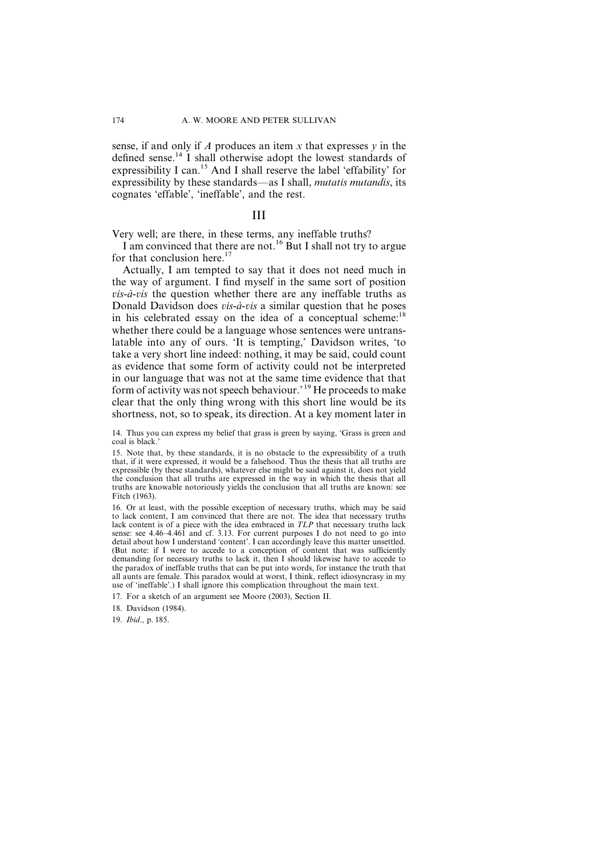sense, if and only if *A* produces an item *x* that expresses  $\nu$  in the defined sense.<sup>14</sup> I shall otherwise adopt the lowest standards of expressibility I can.<sup>15</sup> And I shall reserve the label 'effability' for expressibility by these standards—as I shall, *mutatis mutandis*, its cognates 'effable', 'ineffable', and the rest.

### III

Very well; are there, in these terms, any ineffable truths?

I am convinced that there are not.<sup>16</sup> But I shall not try to argue for that conclusion here.<sup>17</sup>

Actually, I am tempted to say that it does not need much in the way of argument. I find myself in the same sort of position û*is*-*a`*-û*is* the question whether there are any ineffable truths as Donald Davidson does *vis-à-vis* a similar question that he poses in his celebrated essay on the idea of a conceptual scheme:<sup>18</sup> whether there could be a language whose sentences were untranslatable into any of ours. 'It is tempting,' Davidson writes, 'to take a very short line indeed: nothing, it may be said, could count as evidence that some form of activity could not be interpreted in our language that was not at the same time evidence that that form of activity was not speech behaviour.'<sup>19</sup> He proceeds to make clear that the only thing wrong with this short line would be its shortness, not, so to speak, its direction. At a key moment later in

14. Thus you can express my belief that grass is green by saying, 'Grass is green and coal is black.'

15. Note that, by these standards, it is no obstacle to the expressibility of a truth that, if it were expressed, it would be a falsehood. Thus the thesis that all truths are expressible (by these standards), whatever else might be said against it, does not yield the conclusion that all truths are expressed in the way in which the thesis that all truths are knowable notoriously yields the conclusion that all truths are known: see Fitch (1963).

16. Or at least, with the possible exception of necessary truths, which may be said to lack content, I am convinced that there are not. The idea that necessary truths lack content is of a piece with the idea embraced in *TLP* that necessary truths lack sense: see 4.46–4.461 and cf. 3.13. For current purposes I do not need to go into detail about how I understand 'content'. I can accordingly leave this matter unsettled. (But note: if I were to accede to a conception of content that was sufficiently demanding for necessary truths to lack it, then I should likewise have to accede to the paradox of ineffable truths that can be put into words, for instance the truth that all aunts are female. This paradox would at worst, I think, reflect idiosyncrasy in my use of 'ineffable'.) I shall ignore this complication throughout the main text.

17. For a sketch of an argument see Moore (2003), Section II.

18. Davidson (1984).

19. *Ibid*., p. 185.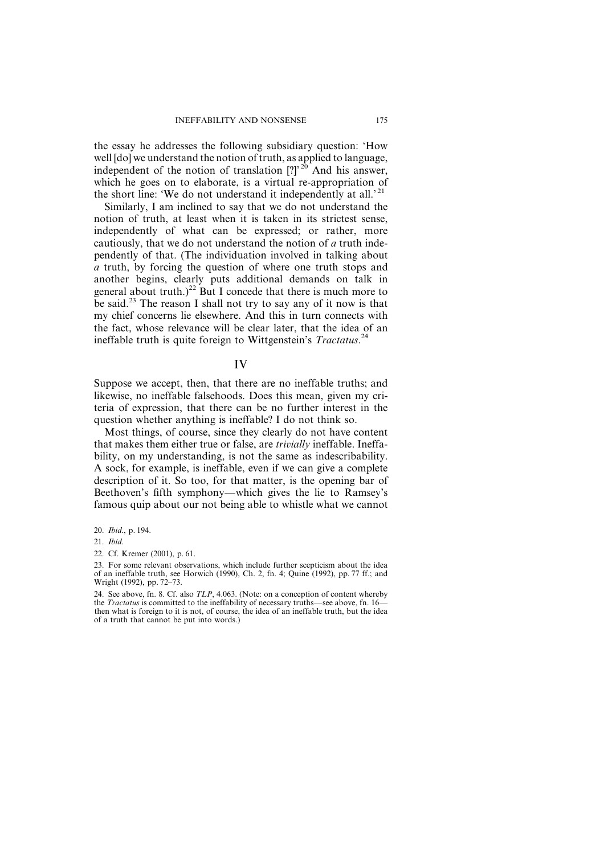the essay he addresses the following subsidiary question: 'How well  $\lceil d\rceil$  we understand the notion of truth, as applied to language. independent of the notion of translation  $[?]^{20}$  And his answer, which he goes on to elaborate, is a virtual re-appropriation of the short line: 'We do not understand it independently at all.'<sup>21</sup>

Similarly, I am inclined to say that we do not understand the notion of truth, at least when it is taken in its strictest sense, independently of what can be expressed; or rather, more cautiously, that we do not understand the notion of *a* truth independently of that. (The individuation involved in talking about *a* truth, by forcing the question of where one truth stops and another begins, clearly puts additional demands on talk in general about truth.)<sup>22</sup> But I concede that there is much more to be said.<sup>23</sup> The reason I shall not try to say any of it now is that my chief concerns lie elsewhere. And this in turn connects with the fact, whose relevance will be clear later, that the idea of an ineffable truth is quite foreign to Wittgenstein's *Tractatus*. 24

#### IV

Suppose we accept, then, that there are no ineffable truths; and likewise, no ineffable falsehoods. Does this mean, given my criteria of expression, that there can be no further interest in the question whether anything is ineffable? I do not think so.

Most things, of course, since they clearly do not have content that makes them either true or false, are *tri*û*ially* ineffable. Ineffability, on my understanding, is not the same as indescribability. A sock, for example, is ineffable, even if we can give a complete description of it. So too, for that matter, is the opening bar of Beethoven's fifth symphony—which gives the lie to Ramsey's famous quip about our not being able to whistle what we cannot

22. Cf. Kremer (2001), p. 61.

<sup>20.</sup> *Ibid*., p. 194.

<sup>21.</sup> *Ibid*.

<sup>23.</sup> For some relevant observations, which include further scepticism about the idea of an ineffable truth, see Horwich (1990), Ch. 2, fn. 4; Quine (1992), pp. 77 ff.; and Wright (1992), pp. 72–73.

<sup>24.</sup> See above, fn. 8. Cf. also *TLP*, 4.063. (Note: on a conception of content whereby the *Tractatus* is committed to the ineffability of necessary truths—see above, fn. 16 then what is foreign to it is not, of course, the idea of an ineffable truth, but the idea of a truth that cannot be put into words.)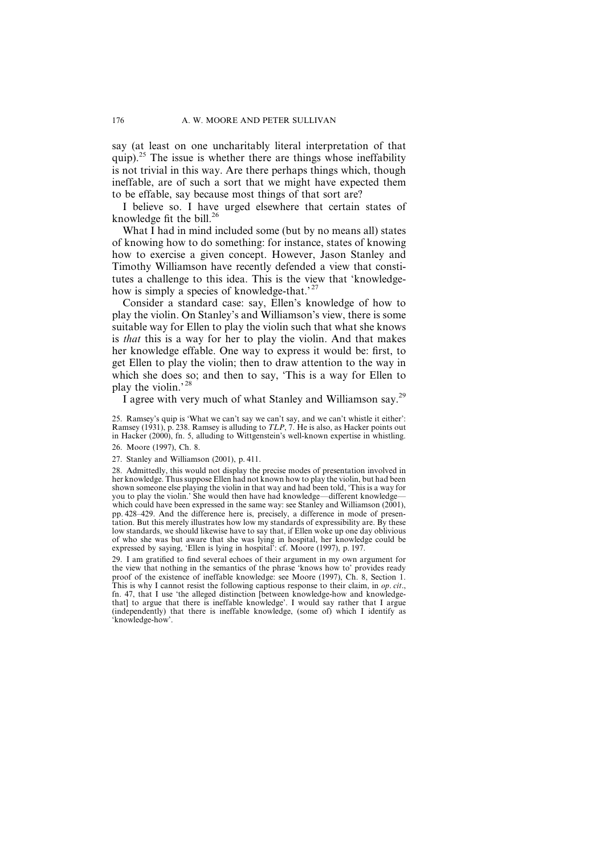say (at least on one uncharitably literal interpretation of that quip).<sup>25</sup> The issue is whether there are things whose ineffability is not trivial in this way. Are there perhaps things which, though ineffable, are of such a sort that we might have expected them to be effable, say because most things of that sort are?

I believe so. I have urged elsewhere that certain states of knowledge fit the bill.<sup>26</sup>

What I had in mind included some (but by no means all) states of knowing how to do something: for instance, states of knowing how to exercise a given concept. However, Jason Stanley and Timothy Williamson have recently defended a view that constitutes a challenge to this idea. This is the view that 'knowledgehow is simply a species of knowledge-that.'<sup>27</sup>

Consider a standard case: say, Ellen's knowledge of how to play the violin. On Stanley's and Williamson's view, there is some suitable way for Ellen to play the violin such that what she knows is *that* this is a way for her to play the violin. And that makes her knowledge effable. One way to express it would be: first, to get Ellen to play the violin; then to draw attention to the way in which she does so; and then to say, 'This is a way for Ellen to play the violin.'<sup>28</sup>

I agree with very much of what Stanley and Williamson say.29

25. Ramsey's quip is 'What we can't say we can't say, and we can't whistle it either': Ramsey (1931), p. 238. Ramsey is alluding to *TLP*, 7. He is also, as Hacker points out in Hacker (2000), fn. 5, alluding to Wittgenstein's well-known expertise in whistling.

26. Moore (1997), Ch. 8.

27. Stanley and Williamson (2001), p. 411.

28. Admittedly, this would not display the precise modes of presentation involved in her knowledge. Thus suppose Ellen had not known how to play the violin, but had been shown someone else playing the violin in that way and had been told, 'This is a way for you to play the violin.' She would then have had knowledge—different knowledge which could have been expressed in the same way: see Stanley and Williamson  $(2001)$ , pp. 428–429. And the difference here is, precisely, a difference in mode of presentation. But this merely illustrates how low my standards of expressibility are. By these low standards, we should likewise have to say that, if Ellen woke up one day oblivious of who she was but aware that she was lying in hospital, her knowledge could be expressed by saying, 'Ellen is lying in hospital': cf. Moore (1997), p. 197.

29. I am gratified to find several echoes of their argument in my own argument for the view that nothing in the semantics of the phrase 'knows how to' provides ready proof of the existence of ineffable knowledge: see Moore (1997), Ch. 8, Section 1. This is why I cannot resist the following captious response to their claim, in *op*. *cit*., fn. 47, that I use 'the alleged distinction [between knowledge-how and knowledgethat] to argue that there is ineffable knowledge'. I would say rather that I argue (independently) that there is ineffable knowledge, (some of) which I identify as 'knowledge-how'.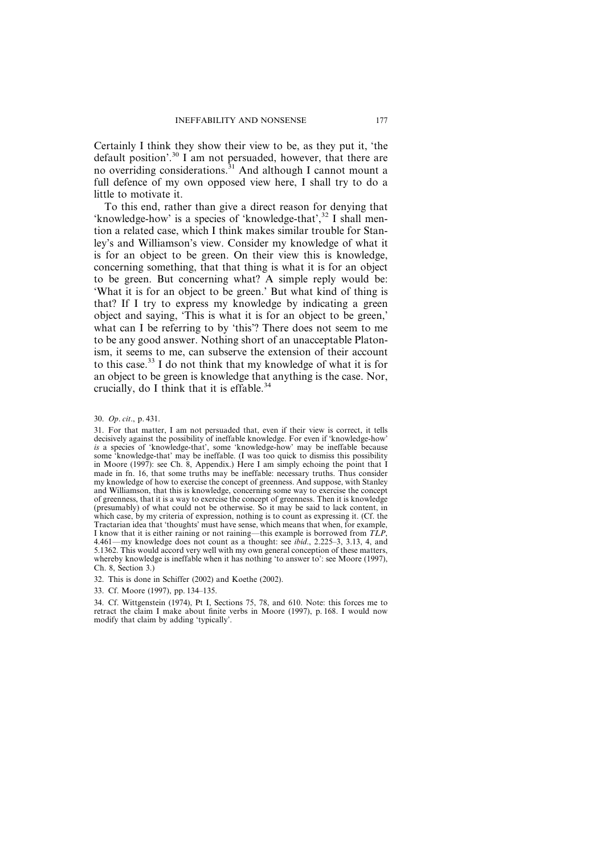Certainly I think they show their view to be, as they put it, 'the default position'. <sup>30</sup> I am not persuaded, however, that there are no overriding considerations.<sup>31</sup> And although I cannot mount a full defence of my own opposed view here, I shall try to do a little to motivate it.

To this end, rather than give a direct reason for denying that 'knowledge-how' is a species of 'knowledge-that',<sup>32</sup> I shall mention a related case, which I think makes similar trouble for Stanley's and Williamson's view. Consider my knowledge of what it is for an object to be green. On their view this is knowledge, concerning something, that that thing is what it is for an object to be green. But concerning what? A simple reply would be: 'What it is for an object to be green.' But what kind of thing is that? If I try to express my knowledge by indicating a green object and saying, 'This is what it is for an object to be green,' what can I be referring to by 'this'? There does not seem to me to be any good answer. Nothing short of an unacceptable Platonism, it seems to me, can subserve the extension of their account to this case.<sup>33</sup> I do not think that my knowledge of what it is for an object to be green is knowledge that anything is the case. Nor, crucially, do I think that it is effable.<sup>34</sup>

30. *Op*. *cit*., p. 431.

32. This is done in Schiffer (2002) and Koethe (2002).

33. Cf. Moore (1997), pp. 134–135.

34. Cf. Wittgenstein (1974), Pt I, Sections 75, 78, and 610. Note: this forces me to retract the claim I make about finite verbs in Moore (1997), p. 168. I would now modify that claim by adding 'typically'.

<sup>31.</sup> For that matter, I am not persuaded that, even if their view is correct, it tells decisively against the possibility of ineffable knowledge. For even if 'knowledge-how' *is* a species of 'knowledge-that', some 'knowledge-how' may be ineffable because some 'knowledge-that' may be ineffable. (I was too quick to dismiss this possibility in Moore (1997): see Ch. 8, Appendix.) Here I am simply echoing the point that I made in fn. 16, that some truths may be ineffable: necessary truths. Thus consider my knowledge of how to exercise the concept of greenness. And suppose, with Stanley and Williamson, that this is knowledge, concerning some way to exercise the concept of greenness, that it is a way to exercise the concept of greenness. Then it is knowledge (presumably) of what could not be otherwise. So it may be said to lack content, in which case, by my criteria of expression, nothing is to count as expressing it. (Cf. the Tractarian idea that 'thoughts' must have sense, which means that when, for example, I know that it is either raining or not raining—this example is borrowed from *TLP*, 4.461—my knowledge does not count as a thought: see *ibid*., 2.225–3, 3.13, 4, and 5.1362. This would accord very well with my own general conception of these matters, whereby knowledge is ineffable when it has nothing 'to answer to': see Moore (1997), Ch. 8, Section 3.)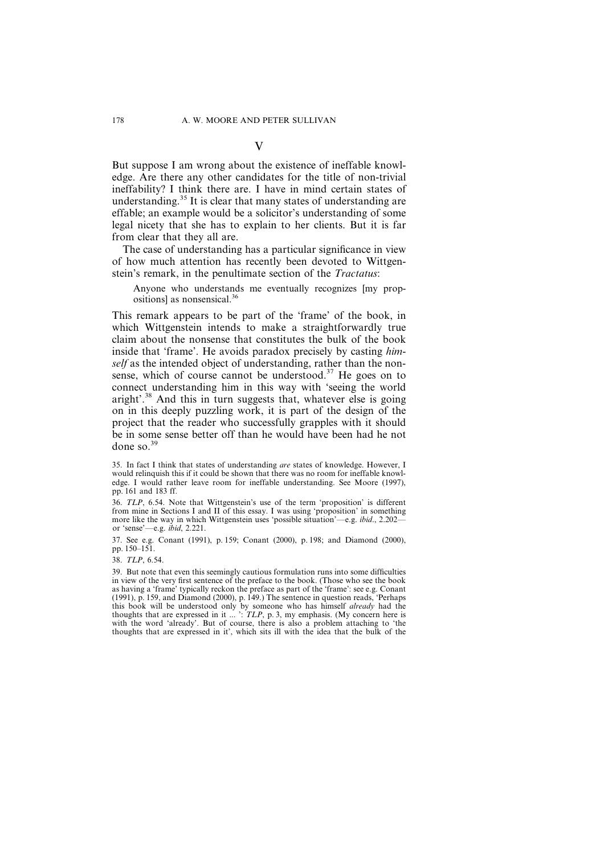But suppose I am wrong about the existence of ineffable knowledge. Are there any other candidates for the title of non-trivial ineffability? I think there are. I have in mind certain states of understanding.<sup>35</sup> It is clear that many states of understanding are effable; an example would be a solicitor's understanding of some legal nicety that she has to explain to her clients. But it is far from clear that they all are.

The case of understanding has a particular significance in view of how much attention has recently been devoted to Wittgenstein's remark, in the penultimate section of the *Tractatus*:

Anyone who understands me eventually recognizes [my propositions] as nonsensical.36

This remark appears to be part of the 'frame' of the book, in which Wittgenstein intends to make a straightforwardly true claim about the nonsense that constitutes the bulk of the book inside that 'frame'. He avoids paradox precisely by casting *himself* as the intended object of understanding, rather than the nonsense, which of course cannot be understood.<sup>37</sup> He goes on to connect understanding him in this way with 'seeing the world aright'.<sup>38</sup> And this in turn suggests that, whatever else is going on in this deeply puzzling work, it is part of the design of the project that the reader who successfully grapples with it should be in some sense better off than he would have been had he not done so.39

35. In fact I think that states of understanding *are* states of knowledge. However, I would relinquish this if it could be shown that there was no room for ineffable knowledge. I would rather leave room for ineffable understanding. See Moore (1997), pp. 161 and 183 ff.

36. *TLP*, 6.54. Note that Wittgenstein's use of the term 'proposition' is different from mine in Sections I and II of this essay. I was using 'proposition' in something more like the way in which Wittgenstein uses 'possible situation'—e.g. *ibid*., 2.202 or 'sense'—e.g. *ibid*, 2.221.

37. See e.g. Conant (1991), p. 159; Conant (2000), p. 198; and Diamond (2000), pp. 150–151.

38. *TLP*, 6.54.

39. But note that even this seemingly cautious formulation runs into some difficulties in view of the very first sentence of the preface to the book. (Those who see the book as having a 'frame' typically reckon the preface as part of the 'frame': see e.g. Conant (1991), p. 159, and Diamond (2000), p. 149.) The sentence in question reads, 'Perhaps this book will be understood only by someone who has himself *already* had the thoughts that are expressed in it ... ': *TLP*, p. 3, my emphasis. (My concern here is with the word 'already'. But of course, there is also a problem attaching to 'the thoughts that are expressed in it', which sits ill with the idea that the bulk of the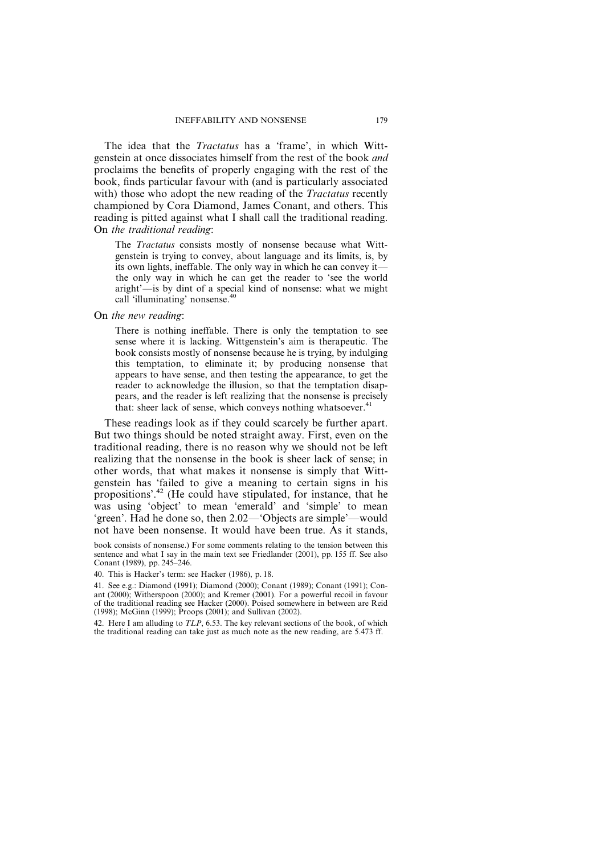The idea that the *Tractatus* has a 'frame', in which Wittgenstein at once dissociates himself from the rest of the book *and* proclaims the benefits of properly engaging with the rest of the book, finds particular favour with (and is particularly associated with) those who adopt the new reading of the *Tractatus* recently championed by Cora Diamond, James Conant, and others. This reading is pitted against what I shall call the traditional reading. On *the traditional reading*:

The *Tractatus* consists mostly of nonsense because what Wittgenstein is trying to convey, about language and its limits, is, by its own lights, ineffable. The only way in which he can convey it the only way in which he can get the reader to 'see the world aright'—is by dint of a special kind of nonsense: what we might call 'illuminating' nonsense.<sup>40</sup>

On *the new reading*:

There is nothing ineffable. There is only the temptation to see sense where it is lacking. Wittgenstein's aim is therapeutic. The book consists mostly of nonsense because he is trying, by indulging this temptation, to eliminate it; by producing nonsense that appears to have sense, and then testing the appearance, to get the reader to acknowledge the illusion, so that the temptation disappears, and the reader is left realizing that the nonsense is precisely that: sheer lack of sense, which conveys nothing whatsoever. $41$ 

These readings look as if they could scarcely be further apart. But two things should be noted straight away. First, even on the traditional reading, there is no reason why we should not be left realizing that the nonsense in the book is sheer lack of sense; in other words, that what makes it nonsense is simply that Wittgenstein has 'failed to give a meaning to certain signs in his propositions'.<sup>42</sup> (He could have stipulated, for instance, that he was using 'object' to mean 'emerald' and 'simple' to mean 'green'. Had he done so, then 2.02—'Objects are simple'—would not have been nonsense. It would have been true. As it stands,

book consists of nonsense.) For some comments relating to the tension between this sentence and what I say in the main text see Friedlander (2001), pp. 155 ff. See also Conant (1989), pp. 245–246.

<sup>40.</sup> This is Hacker's term: see Hacker (1986), p. 18.

<sup>41.</sup> See e.g.: Diamond (1991); Diamond (2000); Conant (1989); Conant (1991); Conant (2000); Witherspoon (2000); and Kremer (2001). For a powerful recoil in favour of the traditional reading see Hacker (2000). Poised somewhere in between are Reid (1998); McGinn (1999); Proops (2001); and Sullivan (2002).

<sup>42.</sup> Here I am alluding to *TLP*, 6.53. The key relevant sections of the book, of which the traditional reading can take just as much note as the new reading, are 5.473 ff.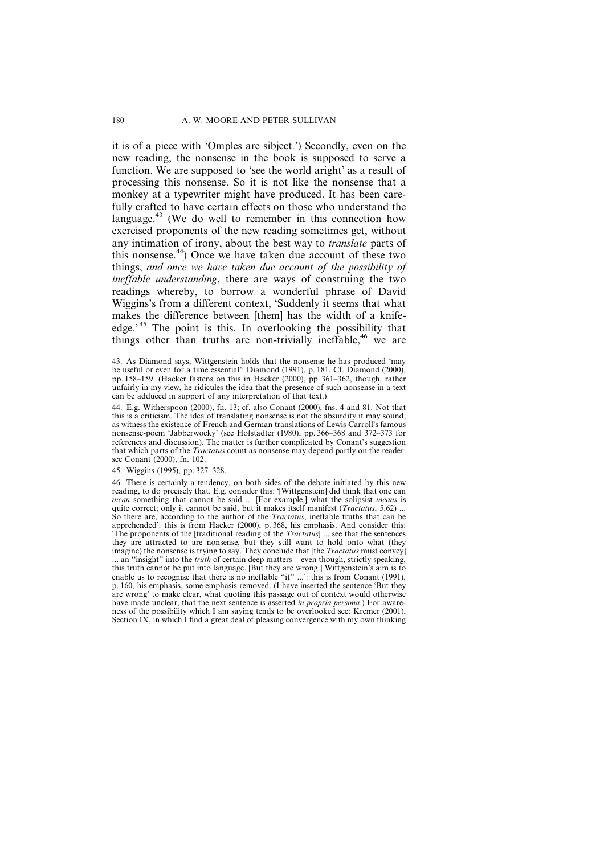it is of a piece with 'Omples are sibject.') Secondly, even on the new reading, the nonsense in the book is supposed to serve a function. We are supposed to 'see the world aright' as a result of processing this nonsense. So it is not like the nonsense that a monkey at a typewriter might have produced. It has been carefully crafted to have certain effects on those who understand the language.43 (We do well to remember in this connection how exercised proponents of the new reading sometimes get, without any intimation of irony, about the best way to *translate* parts of this nonsense.44) Once we have taken due account of these two things, *and once we ha*û*e taken due account of the possibility of ineffable understanding*, there are ways of construing the two readings whereby, to borrow a wonderful phrase of David Wiggins's from a different context, 'Suddenly it seems that what makes the difference between [them] has the width of a knifeedge.' <sup>45</sup> The point is this. In overlooking the possibility that things other than truths are non-trivially ineffable.<sup>46</sup> we are

43. As Diamond says, Wittgenstein holds that the nonsense he has produced 'may be useful or even for a time essential': Diamond (1991), p. 181. Cf. Diamond (2000), pp. 158–159. (Hacker fastens on this in Hacker (2000), pp. 361–362, though, rather unfairly in my view, he ridicules the idea that the presence of such nonsense in a text can be adduced in support of any interpretation of that text.)

44. E.g. Witherspoon (2000), fn. 13; cf. also Conant (2000), fns. 4 and 81. Not that this is a criticism. The idea of translating nonsense is not the absurdity it may sound, as witness the existence of French and German translations of Lewis Carroll's famous nonsense-poem 'Jabberwocky' (see Hofstadter (1980), pp. 366–368 and 372–373 for references and discussion). The matter is further complicated by Conant's suggestion that which parts of the *Tractatus* count as nonsense may depend partly on the reader: see Conant (2000), fn. 102.

45. Wiggins (1995), pp. 327–328.

46. There is certainly a tendency, on both sides of the debate initiated by this new reading, to do precisely that. E.g. consider this: '[Wittgenstein] did think that one can *mean* something that cannot be said ... [For example,] what the solipsist *means* is quite correct; only it cannot be said, but it makes itself manifest (*Tractatus*, 5.62) ... So there are, according to the author of the *Tractatus*, ineffable truths that can be apprehended': this is from Hacker (2000), p. 368, his emphasis. And consider this: 'The proponents of the [traditional reading of the *Tractatus*] ... see that the sentences they are attracted to are nonsense, but they still want to hold onto what (they imagine) the nonsense is trying to say. They conclude that [the *Tractatus* must convey] ... an ''insight'' into the *truth* of certain deep matters—even though, strictly speaking, this truth cannot be put into language. [But they are wrong.] Wittgenstein's aim is to enable us to recognize that there is no ineffable "it" ...": this is from Conant (1991), p. 160, his emphasis, some emphasis removed. (I have inserted the sentence 'But they are wrong' to make clear, what quoting this passage out of context would otherwise have made unclear, that the next sentence is asserted *in propria persona*.) For awareness of the possibility which I am saying tends to be overlooked see: Kremer (2001), Section IX, in which I find a great deal of pleasing convergence with my own thinking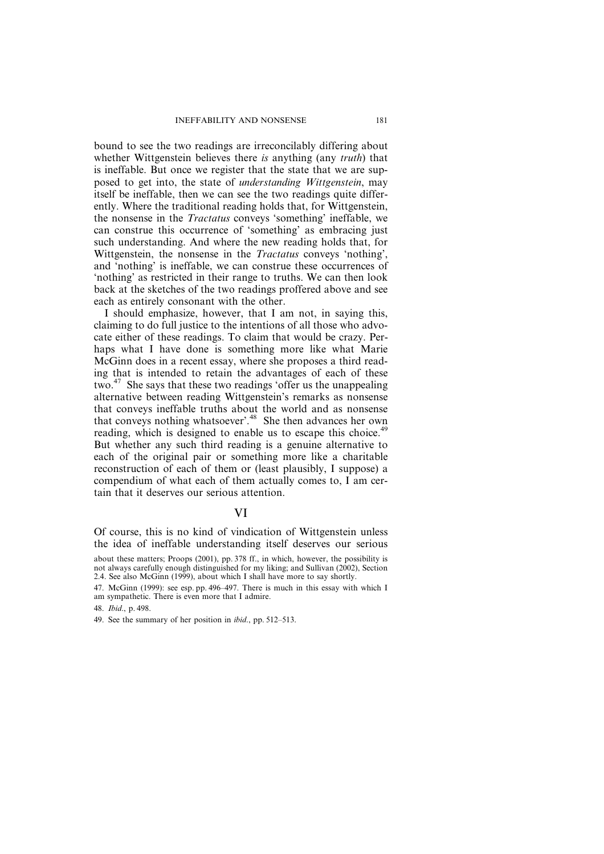bound to see the two readings are irreconcilably differing about whether Wittgenstein believes there *is* anything (any *truth*) that is ineffable. But once we register that the state that we are supposed to get into, the state of *understanding Wittgenstein*, may itself be ineffable, then we can see the two readings quite differently. Where the traditional reading holds that, for Wittgenstein, the nonsense in the *Tractatus* conveys 'something' ineffable, we can construe this occurrence of 'something' as embracing just such understanding. And where the new reading holds that, for Wittgenstein, the nonsense in the *Tractatus* conveys 'nothing', and 'nothing' is ineffable, we can construe these occurrences of 'nothing' as restricted in their range to truths. We can then look back at the sketches of the two readings proffered above and see each as entirely consonant with the other.

I should emphasize, however, that I am not, in saying this, claiming to do full justice to the intentions of all those who advocate either of these readings. To claim that would be crazy. Perhaps what I have done is something more like what Marie McGinn does in a recent essay, where she proposes a third reading that is intended to retain the advantages of each of these two.<sup>47</sup> She says that these two readings 'offer us the unappealing alternative between reading Wittgenstein's remarks as nonsense that conveys ineffable truths about the world and as nonsense that conveys nothing whatsoever'.<sup>48</sup> She then advances her own reading, which is designed to enable us to escape this choice.<sup>49</sup> But whether any such third reading is a genuine alternative to each of the original pair or something more like a charitable reconstruction of each of them or (least plausibly, I suppose) a compendium of what each of them actually comes to, I am certain that it deserves our serious attention.

#### VI

Of course, this is no kind of vindication of Wittgenstein unless the idea of ineffable understanding itself deserves our serious

48. *Ibid*., p. 498.

about these matters; Proops (2001), pp. 378 ff., in which, however, the possibility is not always carefully enough distinguished for my liking; and Sullivan (2002), Section 2.4. See also McGinn (1999), about which I shall have more to say shortly.

<sup>47.</sup> McGinn (1999): see esp. pp. 496–497. There is much in this essay with which I am sympathetic. There is even more that I admire.

<sup>49.</sup> See the summary of her position in *ibid*., pp. 512–513.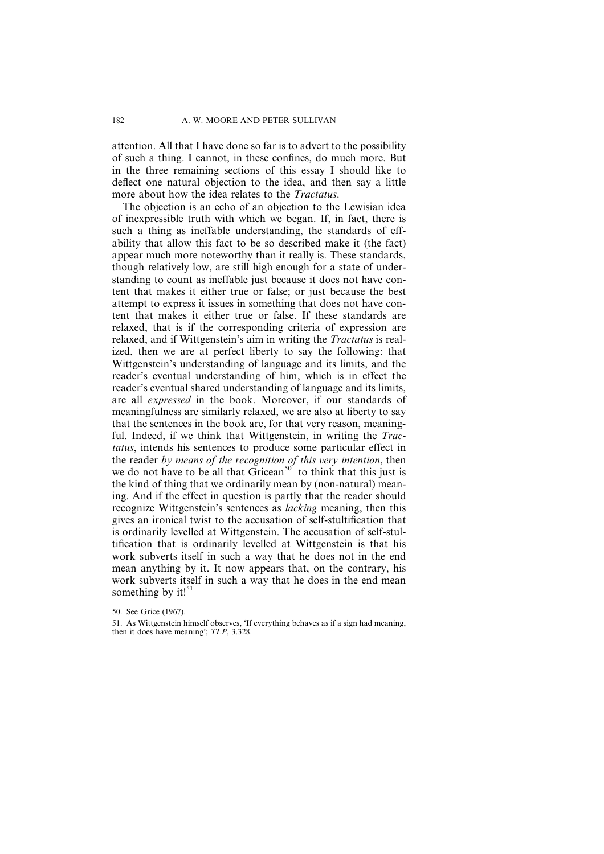attention. All that I have done so far is to advert to the possibility of such a thing. I cannot, in these confines, do much more. But in the three remaining sections of this essay I should like to deflect one natural objection to the idea, and then say a little more about how the idea relates to the *Tractatus*.

The objection is an echo of an objection to the Lewisian idea of inexpressible truth with which we began. If, in fact, there is such a thing as ineffable understanding, the standards of effability that allow this fact to be so described make it (the fact) appear much more noteworthy than it really is. These standards, though relatively low, are still high enough for a state of understanding to count as ineffable just because it does not have content that makes it either true or false; or just because the best attempt to express it issues in something that does not have content that makes it either true or false. If these standards are relaxed, that is if the corresponding criteria of expression are relaxed, and if Wittgenstein's aim in writing the *Tractatus* is realized, then we are at perfect liberty to say the following: that Wittgenstein's understanding of language and its limits, and the reader's eventual understanding of him, which is in effect the reader's eventual shared understanding of language and its limits, are all *expressed* in the book. Moreover, if our standards of meaningfulness are similarly relaxed, we are also at liberty to say that the sentences in the book are, for that very reason, meaningful. Indeed, if we think that Wittgenstein, in writing the *Tractatus*, intends his sentences to produce some particular effect in the reader *by means of the recognition of this* û*ery intention*, then we do not have to be all that  $Gricean^{50}$  to think that this just is the kind of thing that we ordinarily mean by (non-natural) meaning. And if the effect in question is partly that the reader should recognize Wittgenstein's sentences as *lacking* meaning, then this gives an ironical twist to the accusation of self-stultification that is ordinarily levelled at Wittgenstein. The accusation of self-stultification that is ordinarily levelled at Wittgenstein is that his work subverts itself in such a way that he does not in the end mean anything by it. It now appears that, on the contrary, his work subverts itself in such a way that he does in the end mean something by it! $51$ 

<sup>50.</sup> See Grice (1967).

<sup>51.</sup> As Wittgenstein himself observes, 'If everything behaves as if a sign had meaning, then it does have meaning'; *TLP*, 3.328.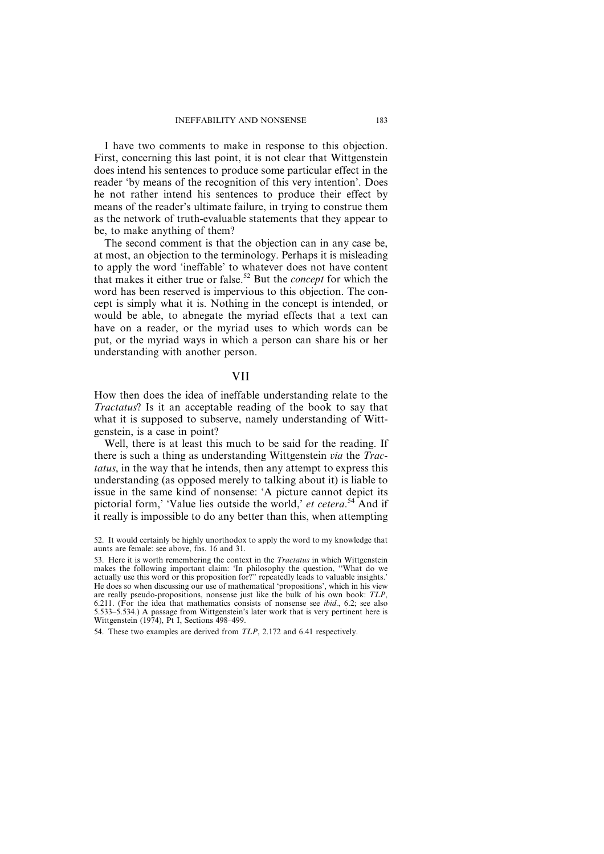I have two comments to make in response to this objection. First, concerning this last point, it is not clear that Wittgenstein does intend his sentences to produce some particular effect in the reader 'by means of the recognition of this very intention'. Does he not rather intend his sentences to produce their effect by means of the reader's ultimate failure, in trying to construe them as the network of truth-evaluable statements that they appear to be, to make anything of them?

The second comment is that the objection can in any case be, at most, an objection to the terminology. Perhaps it is misleading to apply the word 'ineffable' to whatever does not have content that makes it either true or false.52 But the *concept* for which the word has been reserved is impervious to this objection. The concept is simply what it is. Nothing in the concept is intended, or would be able, to abnegate the myriad effects that a text can have on a reader, or the myriad uses to which words can be put, or the myriad ways in which a person can share his or her understanding with another person.

## VII

How then does the idea of ineffable understanding relate to the *Tractatus*? Is it an acceptable reading of the book to say that what it is supposed to subserve, namely understanding of Wittgenstein, is a case in point?

Well, there is at least this much to be said for the reading. If there is such a thing as understanding Wittgenstein û*ia* the *Tractatus*, in the way that he intends, then any attempt to express this understanding (as opposed merely to talking about it) is liable to issue in the same kind of nonsense: 'A picture cannot depict its pictorial form,' 'Value lies outside the world,' *et cetera*.<sup>54</sup> And if it really is impossible to do any better than this, when attempting

52. It would certainly be highly unorthodox to apply the word to my knowledge that aunts are female: see above, fns. 16 and 31.

53. Here it is worth remembering the context in the *Tractatus* in which Wittgenstein makes the following important claim: 'In philosophy the question, ''What do we actually use this word or this proposition for?'' repeatedly leads to valuable insights.' He does so when discussing our use of mathematical 'propositions', which in his view are really pseudo-propositions, nonsense just like the bulk of his own book: *TLP*, 6.211. (For the idea that mathematics consists of nonsense see *ibid*., 6.2; see also 5.533–5.534.) A passage from Wittgenstein's later work that is very pertinent here is Wittgenstein (1974), Pt I, Sections 498–499.

54. These two examples are derived from *TLP*, 2.172 and 6.41 respectively.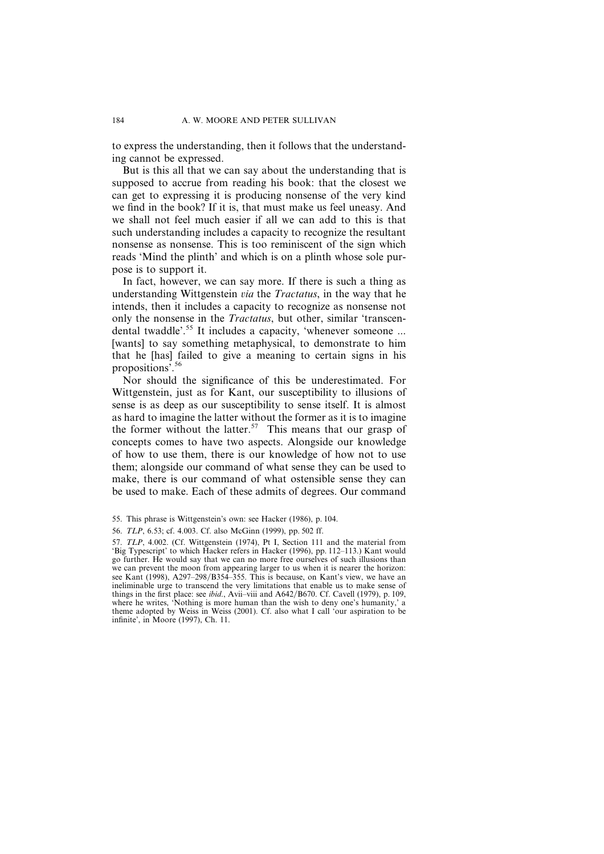to express the understanding, then it follows that the understanding cannot be expressed.

But is this all that we can say about the understanding that is supposed to accrue from reading his book: that the closest we can get to expressing it is producing nonsense of the very kind we find in the book? If it is, that must make us feel uneasy. And we shall not feel much easier if all we can add to this is that such understanding includes a capacity to recognize the resultant nonsense as nonsense. This is too reminiscent of the sign which reads 'Mind the plinth' and which is on a plinth whose sole purpose is to support it.

In fact, however, we can say more. If there is such a thing as understanding Wittgenstein û*ia* the *Tractatus*, in the way that he intends, then it includes a capacity to recognize as nonsense not only the nonsense in the *Tractatus*, but other, similar 'transcendental twaddle'. <sup>55</sup> It includes a capacity, 'whenever someone ... [wants] to say something metaphysical, to demonstrate to him that he [has] failed to give a meaning to certain signs in his propositions'. 56

Nor should the significance of this be underestimated. For Wittgenstein, just as for Kant, our susceptibility to illusions of sense is as deep as our susceptibility to sense itself. It is almost as hard to imagine the latter without the former as it is to imagine the former without the latter.<sup>57</sup> This means that our grasp of concepts comes to have two aspects. Alongside our knowledge of how to use them, there is our knowledge of how not to use them; alongside our command of what sense they can be used to make, there is our command of what ostensible sense they can be used to make. Each of these admits of degrees. Our command

<sup>55.</sup> This phrase is Wittgenstein's own: see Hacker (1986), p. 104.

<sup>56.</sup> *TLP*, 6.53; cf. 4.003. Cf. also McGinn (1999), pp. 502 ff.

<sup>57.</sup> *TLP*, 4.002. (Cf. Wittgenstein (1974), Pt I, Section 111 and the material from 'Big Typescript' to which Hacker refers in Hacker (1996), pp. 112–113.) Kant would go further. He would say that we can no more free ourselves of such illusions than we can prevent the moon from appearing larger to us when it is nearer the horizon: see Kant (1998), A297-298/B354-355. This is because, on Kant's view, we have an ineliminable urge to transcend the very limitations that enable us to make sense of things in the first place: see *ibid.*, Avii–viii and A642/B670. Cf. Cavell (1979), p. 109, where he writes, 'Nothing is more human than the wish to deny one's humanity,' a theme adopted by Weiss in Weiss (2001). Cf. also what I call 'our aspiration to be infinite', in Moore (1997), Ch. 11.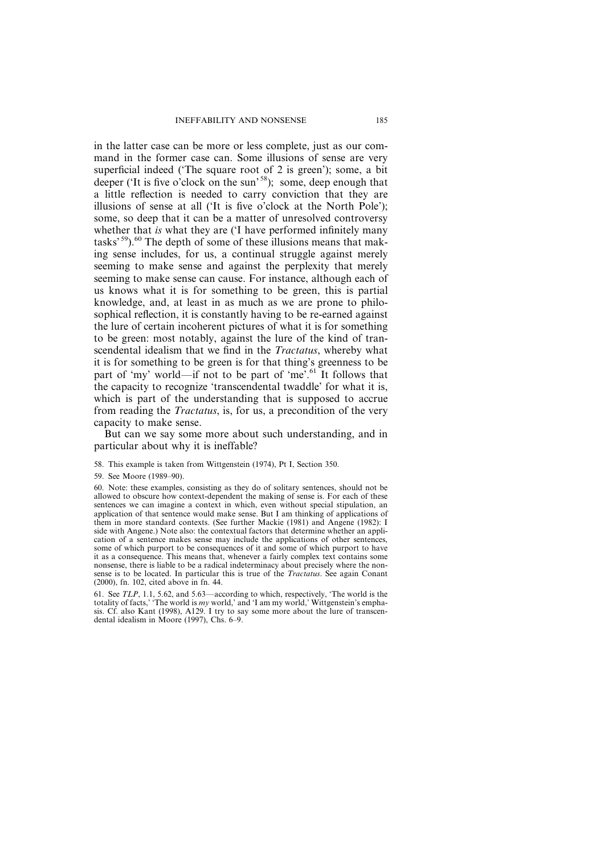in the latter case can be more or less complete, just as our command in the former case can. Some illusions of sense are very superficial indeed ('The square root of 2 is green'); some, a bit deeper ('It is five o'clock on the sun'<sup>58</sup>); some, deep enough that a little reflection is needed to carry conviction that they are illusions of sense at all ('It is five o'clock at the North Pole'); some, so deep that it can be a matter of unresolved controversy whether that *is* what they are ('I have performed infinitely many tasks'<sup>59</sup>).<sup>60</sup> The depth of some of these illusions means that making sense includes, for us, a continual struggle against merely seeming to make sense and against the perplexity that merely seeming to make sense can cause. For instance, although each of us knows what it is for something to be green, this is partial knowledge, and, at least in as much as we are prone to philosophical reflection, it is constantly having to be re-earned against the lure of certain incoherent pictures of what it is for something to be green: most notably, against the lure of the kind of transcendental idealism that we find in the *Tractatus*, whereby what it is for something to be green is for that thing's greenness to be part of 'my' world—if not to be part of 'me'. <sup>61</sup> It follows that the capacity to recognize 'transcendental twaddle' for what it is, which is part of the understanding that is supposed to accrue from reading the *Tractatus*, is, for us, a precondition of the very capacity to make sense.

But can we say some more about such understanding, and in particular about why it is ineffable?

- 58. This example is taken from Wittgenstein (1974), Pt I, Section 350.
- 59. See Moore (1989–90).

<sup>60.</sup> Note: these examples, consisting as they do of solitary sentences, should not be allowed to obscure how context-dependent the making of sense is. For each of these sentences we can imagine a context in which, even without special stipulation, an application of that sentence would make sense. But I am thinking of applications of them in more standard contexts. (See further Mackie (1981) and Angene (1982): I side with Angene.) Note also: the contextual factors that determine whether an application of a sentence makes sense may include the applications of other sentences, some of which purport to be consequences of it and some of which purport to have it as a consequence. This means that, whenever a fairly complex text contains some nonsense, there is liable to be a radical indeterminacy about precisely where the nonsense is to be located. In particular this is true of the *Tractatus*. See again Conant (2000), fn. 102, cited above in fn. 44.

<sup>61.</sup> See *TLP*, 1.1, 5.62, and 5.63—according to which, respectively, 'The world is the totality of facts,' 'The world is *my* world,' and 'I am my world,' Wittgenstein's emphasis. Cf. also Kant (1998), A129. I try to say some more about the lure of transcendental idealism in Moore (1997), Chs. 6–9.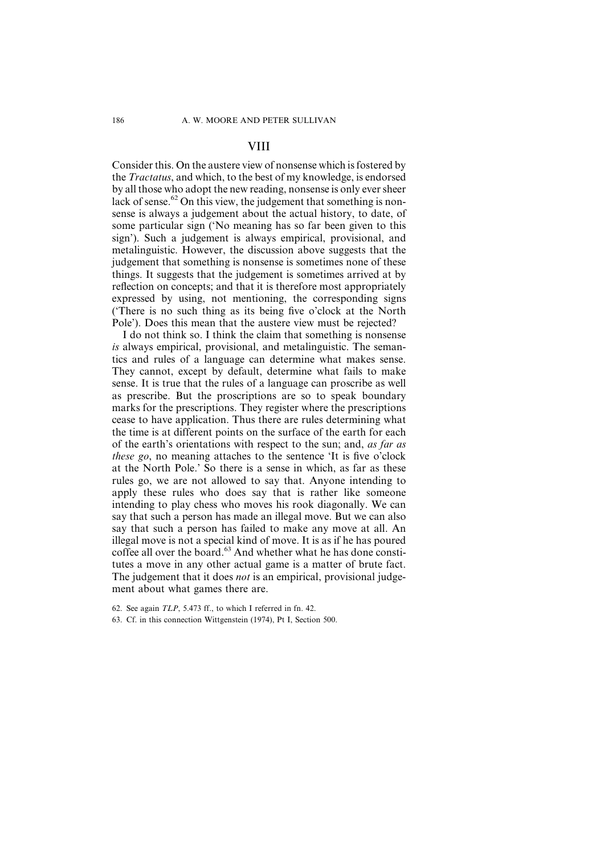## **VIII**

Consider this. On the austere view of nonsense which is fostered by the *Tractatus*, and which, to the best of my knowledge, is endorsed by all those who adopt the new reading, nonsense is only ever sheer lack of sense. $62$  On this view, the judgement that something is nonsense is always a judgement about the actual history, to date, of some particular sign ('No meaning has so far been given to this sign'). Such a judgement is always empirical, provisional, and metalinguistic. However, the discussion above suggests that the judgement that something is nonsense is sometimes none of these things. It suggests that the judgement is sometimes arrived at by reflection on concepts; and that it is therefore most appropriately expressed by using, not mentioning, the corresponding signs ('There is no such thing as its being five o'clock at the North Pole'). Does this mean that the austere view must be rejected?

I do not think so. I think the claim that something is nonsense *is* always empirical, provisional, and metalinguistic. The semantics and rules of a language can determine what makes sense. They cannot, except by default, determine what fails to make sense. It is true that the rules of a language can proscribe as well as prescribe. But the proscriptions are so to speak boundary marks for the prescriptions. They register where the prescriptions cease to have application. Thus there are rules determining what the time is at different points on the surface of the earth for each of the earth's orientations with respect to the sun; and, *as far as these go*, no meaning attaches to the sentence 'It is five o'clock at the North Pole.' So there is a sense in which, as far as these rules go, we are not allowed to say that. Anyone intending to apply these rules who does say that is rather like someone intending to play chess who moves his rook diagonally. We can say that such a person has made an illegal move. But we can also say that such a person has failed to make any move at all. An illegal move is not a special kind of move. It is as if he has poured coffee all over the board.<sup>63</sup> And whether what he has done constitutes a move in any other actual game is a matter of brute fact. The judgement that it does *not* is an empirical, provisional judgement about what games there are.

62. See again *TLP*, 5.473 ff., to which I referred in fn. 42.

63. Cf. in this connection Wittgenstein (1974), Pt I, Section 500.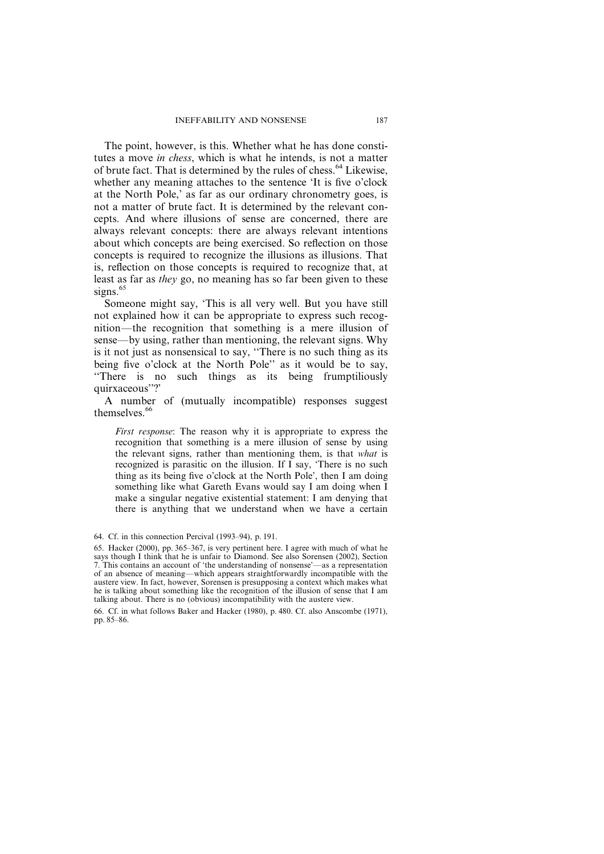The point, however, is this. Whether what he has done constitutes a move *in chess*, which is what he intends, is not a matter of brute fact. That is determined by the rules of chess.<sup>64</sup> Likewise, whether any meaning attaches to the sentence 'It is five o'clock at the North Pole,' as far as our ordinary chronometry goes, is not a matter of brute fact. It is determined by the relevant concepts. And where illusions of sense are concerned, there are always relevant concepts: there are always relevant intentions about which concepts are being exercised. So reflection on those concepts is required to recognize the illusions as illusions. That is, reflection on those concepts is required to recognize that, at least as far as *they* go, no meaning has so far been given to these  $signs.<sup>65</sup>$ 

Someone might say, 'This is all very well. But you have still not explained how it can be appropriate to express such recognition—the recognition that something is a mere illusion of sense—by using, rather than mentioning, the relevant signs. Why is it not just as nonsensical to say, ''There is no such thing as its being five o'clock at the North Pole" as it would be to say, ''There is no such things as its being frumptiliously quirxaceous''?'

A number of (mutually incompatible) responses suggest themselves $66$ 

*First response*: The reason why it is appropriate to express the recognition that something is a mere illusion of sense by using the relevant signs, rather than mentioning them, is that *what* is recognized is parasitic on the illusion. If I say, 'There is no such thing as its being five o'clock at the North Pole', then I am doing something like what Gareth Evans would say I am doing when I make a singular negative existential statement: I am denying that there is anything that we understand when we have a certain

66. Cf. in what follows Baker and Hacker (1980), p. 480. Cf. also Anscombe (1971), pp. 85–86.

<sup>64.</sup> Cf. in this connection Percival (1993–94), p. 191.

<sup>65.</sup> Hacker (2000), pp. 365–367, is very pertinent here. I agree with much of what he says though I think that he is unfair to Diamond. See also Sorensen (2002), Section 7. This contains an account of 'the understanding of nonsense'—as a representation of an absence of meaning—which appears straightforwardly incompatible with the austere view. In fact, however, Sorensen is presupposing a context which makes what he is talking about something like the recognition of the illusion of sense that I am talking about. There is no (obvious) incompatibility with the austere view.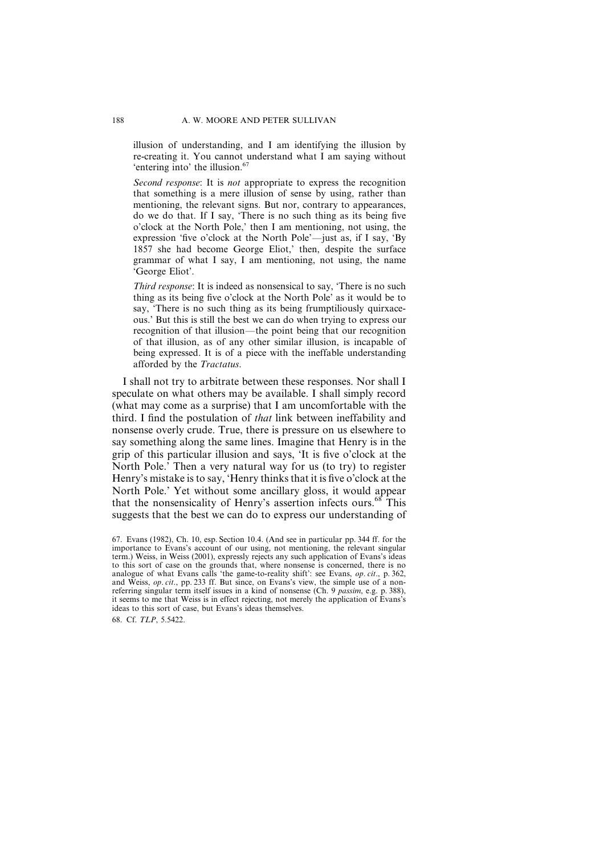illusion of understanding, and I am identifying the illusion by re-creating it. You cannot understand what I am saying without 'entering into' the illusion.<sup>67</sup>

*Second response*: It is *not* appropriate to express the recognition that something is a mere illusion of sense by using, rather than mentioning, the relevant signs. But nor, contrary to appearances, do we do that. If I say, 'There is no such thing as its being five o'clock at the North Pole,' then I am mentioning, not using, the expression 'five o'clock at the North Pole'—just as, if I say, 'By 1857 she had become George Eliot,' then, despite the surface grammar of what I say, I am mentioning, not using, the name 'George Eliot'.

*Third response*: It is indeed as nonsensical to say, 'There is no such thing as its being five o'clock at the North Pole' as it would be to say, 'There is no such thing as its being frumptiliously quirxaceous.' But this is still the best we can do when trying to express our recognition of that illusion—the point being that our recognition of that illusion, as of any other similar illusion, is incapable of being expressed. It is of a piece with the ineffable understanding afforded by the *Tractatus*.

I shall not try to arbitrate between these responses. Nor shall I speculate on what others may be available. I shall simply record (what may come as a surprise) that I am uncomfortable with the third. I find the postulation of *that* link between ineffability and nonsense overly crude. True, there is pressure on us elsewhere to say something along the same lines. Imagine that Henry is in the grip of this particular illusion and says, 'It is five o'clock at the North Pole.' Then a very natural way for us (to try) to register Henry's mistake is to say, 'Henry thinks that it is five o'clock at the North Pole.' Yet without some ancillary gloss, it would appear that the nonsensicality of Henry's assertion infects ours.<sup>68</sup> This suggests that the best we can do to express our understanding of

68. Cf. *TLP*, 5.5422.

<sup>67.</sup> Evans (1982), Ch. 10, esp. Section 10.4. (And see in particular pp. 344 ff. for the importance to Evans's account of our using, not mentioning, the relevant singular term.) Weiss, in Weiss (2001), expressly rejects any such application of Evans's ideas to this sort of case on the grounds that, where nonsense is concerned, there is no analogue of what Evans calls 'the game-to-reality shift': see Evans, *op*. *cit*., p. 362, and Weiss, *op. cit.*, pp. 233 ff. But since, on Evans's view, the simple use of a nonreferring singular term itself issues in a kind of nonsense (Ch. 9 *passim*, e.g. p. 388), it seems to me that Weiss is in effect rejecting, not merely the application of Evans's ideas to this sort of case, but Evans's ideas themselves.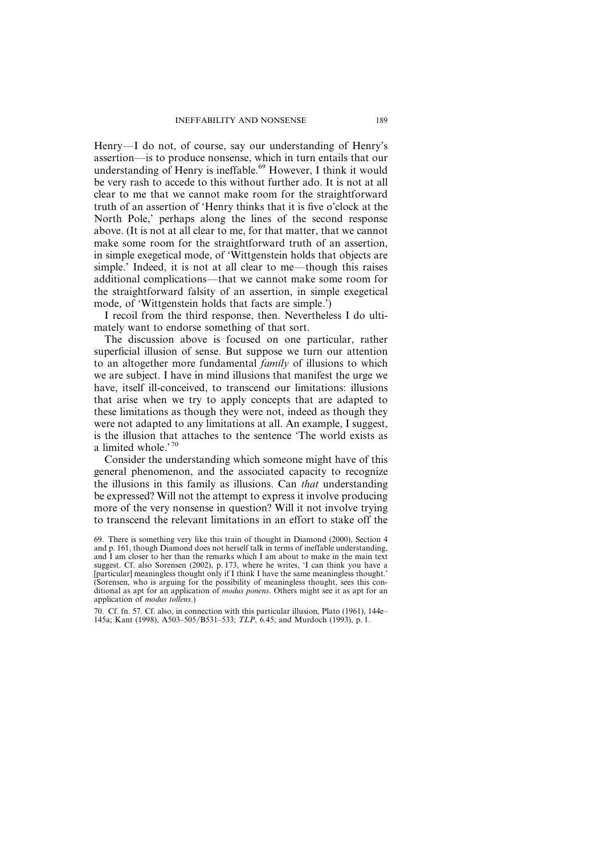Henry—I do not, of course, say our understanding of Henry's assertion—is to produce nonsense, which in turn entails that our understanding of Henry is ineffable.<sup>69</sup> However, I think it would be very rash to accede to this without further ado. It is not at all clear to me that we cannot make room for the straightforward truth of an assertion of 'Henry thinks that it is five o'clock at the North Pole,' perhaps along the lines of the second response above. (It is not at all clear to me, for that matter, that we cannot make some room for the straightforward truth of an assertion, in simple exegetical mode, of 'Wittgenstein holds that objects are simple.' Indeed, it is not at all clear to me—though this raises additional complications—that we cannot make some room for the straightforward falsity of an assertion, in simple exegetical mode, of 'Wittgenstein holds that facts are simple.')

I recoil from the third response, then. Nevertheless I do ultimately want to endorse something of that sort.

The discussion above is focused on one particular, rather superficial illusion of sense. But suppose we turn our attention to an altogether more fundamental *family* of illusions to which we are subject. I have in mind illusions that manifest the urge we have, itself ill-conceived, to transcend our limitations: illusions that arise when we try to apply concepts that are adapted to these limitations as though they were not, indeed as though they were not adapted to any limitations at all. An example, I suggest, is the illusion that attaches to the sentence 'The world exists as a limited whole.'<sup>70</sup>

Consider the understanding which someone might have of this general phenomenon, and the associated capacity to recognize the illusions in this family as illusions. Can *that* understanding be expressed? Will not the attempt to express it involve producing more of the very nonsense in question? Will it not involve trying to transcend the relevant limitations in an effort to stake off the

69. There is something very like this train of thought in Diamond (2000), Section 4 and p. 161, though Diamond does not herself talk in terms of ineffable understanding, and  $\hat{I}$  am closer to her than the remarks which I am about to make in the main text suggest. Cf. also Sorensen (2002), p. 173, where he writes, 'I can think you have a [particular] meaningless thought only if I think I have the same meaningless thought.' (Sorensen, who is arguing for the possibility of meaningless thought, sees this conditional as apt for an application of *modus ponens*. Others might see it as apt for an application of *modus tollens*.)

70. Cf. fn. 57. Cf. also, in connection with this particular illusion, Plato (1961), 144e– 145a; Kant (1998), A503–505/B531–533; *TLP*, 6.45; and Murdoch (1993), p. 1.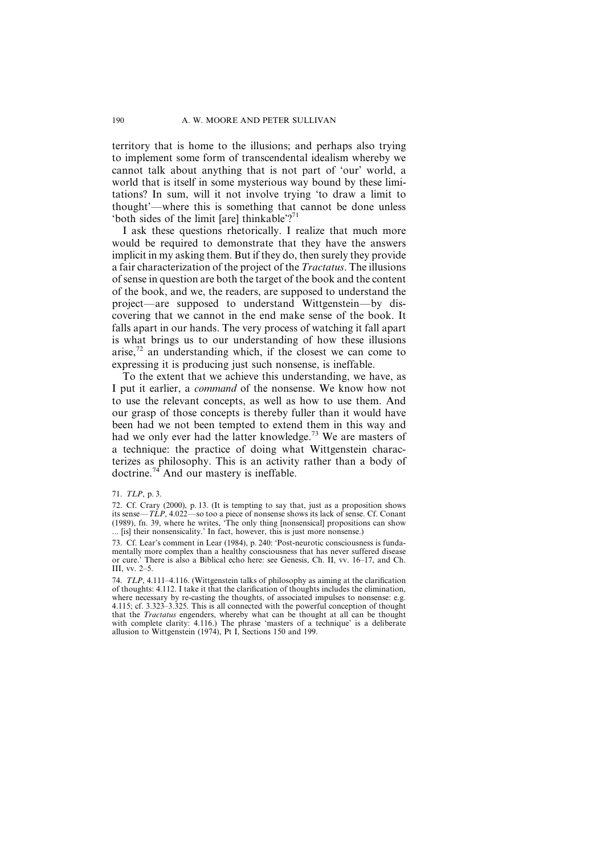territory that is home to the illusions; and perhaps also trying to implement some form of transcendental idealism whereby we cannot talk about anything that is not part of 'our' world, a world that is itself in some mysterious way bound by these limitations? In sum, will it not involve trying 'to draw a limit to thought'—where this is something that cannot be done unless 'both sides of the limit [are] thinkable'?<sup>71</sup>

I ask these questions rhetorically. I realize that much more would be required to demonstrate that they have the answers implicit in my asking them. But if they do, then surely they provide a fair characterization of the project of the *Tractatus*. The illusions of sense in question are both the target of the book and the content of the book, and we, the readers, are supposed to understand the project—are supposed to understand Wittgenstein—by discovering that we cannot in the end make sense of the book. It falls apart in our hands. The very process of watching it fall apart is what brings us to our understanding of how these illusions arise, $72$  an understanding which, if the closest we can come to expressing it is producing just such nonsense, is ineffable.

To the extent that we achieve this understanding, we have, as I put it earlier, a *command* of the nonsense. We know how not to use the relevant concepts, as well as how to use them. And our grasp of those concepts is thereby fuller than it would have been had we not been tempted to extend them in this way and had we only ever had the latter knowledge.<sup>73</sup> We are masters of a technique: the practice of doing what Wittgenstein characterizes as philosophy. This is an activity rather than a body of doctrine.74 And our mastery is ineffable.

71. *TLP*, p. 3.

72. Cf. Crary (2000), p. 13. (It is tempting to say that, just as a proposition shows its sense— $T\angle(\hat{L}P)$ , 4.022—so too a piece of nonsense shows its lack of sense. Cf. Conant (1989), fn. 39, where he writes, 'The only thing [nonsensical] propositions can show ... [is] their nonsensicality.' In fact, however, this is just more nonsense.)

73. Cf. Lear's comment in Lear (1984), p. 240: 'Post-neurotic consciousness is fundamentally more complex than a healthy consciousness that has never suffered disease or cure.' There is also a Biblical echo here: see Genesis, Ch. II, vv. 16–17, and Ch. III, vv. 2–5.

74. *TLP*, 4.111–4.116. (Wittgenstein talks of philosophy as aiming at the clarification of thoughts: 4.112. I take it that the clarification of thoughts includes the elimination, where necessary by re-casting the thoughts, of associated impulses to nonsense: e.g. 4.115; cf. 3.323–3.325. This is all connected with the powerful conception of thought that the *Tractatus* engenders, whereby what can be thought at all can be thought with complete clarity: 4.116.) The phrase 'masters of a technique' is a deliberate allusion to Wittgenstein (1974), Pt I, Sections 150 and 199.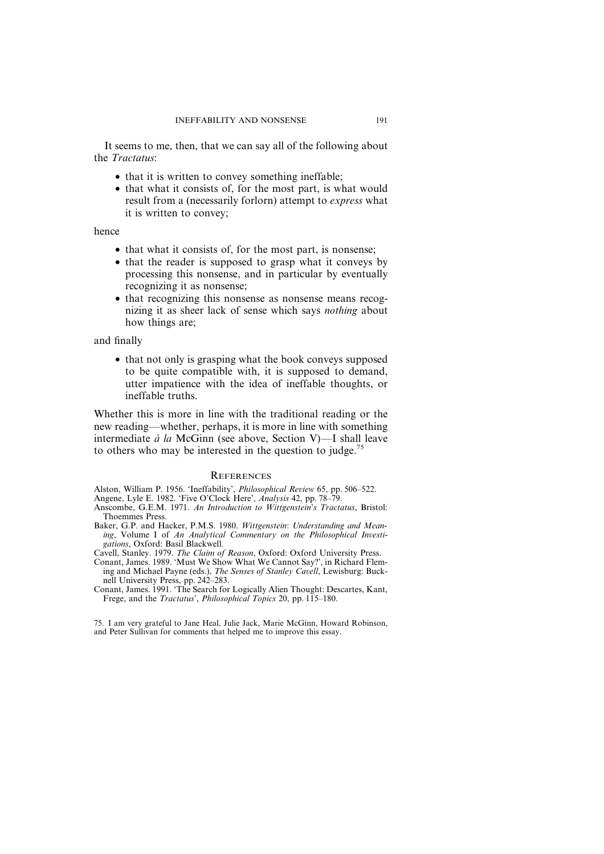It seems to me, then, that we can say all of the following about the *Tractatus*:

- that it is written to convey something ineffable;
- that what it consists of, for the most part, is what would result from a (necessarily forlorn) attempt to *express* what it is written to convey;

hence

- that what it consists of, for the most part, is nonsense:
- that the reader is supposed to grasp what it conveys by processing this nonsense, and in particular by eventually recognizing it as nonsense;
- that recognizing this nonsense as nonsense means recognizing it as sheer lack of sense which says *nothing* about how things are;

and finally

• that not only is grasping what the book conveys supposed to be quite compatible with, it is supposed to demand, utter impatience with the idea of ineffable thoughts, or ineffable truths.

Whether this is more in line with the traditional reading or the new reading—whether, perhaps, it is more in line with something intermediate *a` la* McGinn (see above, Section V)—I shall leave to others who may be interested in the question to judge.<sup>75</sup>

### **REFERENCES**

Alston, William P. 1956. 'Ineffability', *Philosophical Re*û*iew* 65, pp. 506–522. Angene, Lyle E. 1982. 'Five O'Clock Here', *Analysis* 42, pp. 78–79.

- 
- Anscombe, G.E.M. 1971. *An Introduction to Wittgenstein*'*s Tractatus*, Bristol: Thoemmes Press.
- Baker, G.P. and Hacker, P.M.S. 1980. *Wittgenstein*: *Understanding and Mean*ing, Volume I of *An Analytical Commentary on the Philosophical Investigations*, Oxford: Basil Blackwell.
- Cavell, Stanley. 1979. *The Claim of Reason*, Oxford: Oxford University Press.
- Conant, James. 1989. 'Must We Show What We Cannot Say?', in Richard Fleming and Michael Payne (eds.), *The Senses of Stanley Ca*û*ell*, Lewisburg: Bucknell University Press, pp. 242–283.
- Conant, James. 1991. 'The Search for Logically Alien Thought: Descartes, Kant, Frege, and the *Tractatus*', *Philosophical Topics* 20, pp. 115–180.

75. I am very grateful to Jane Heal, Julie Jack, Marie McGinn, Howard Robinson, and Peter Sullivan for comments that helped me to improve this essay.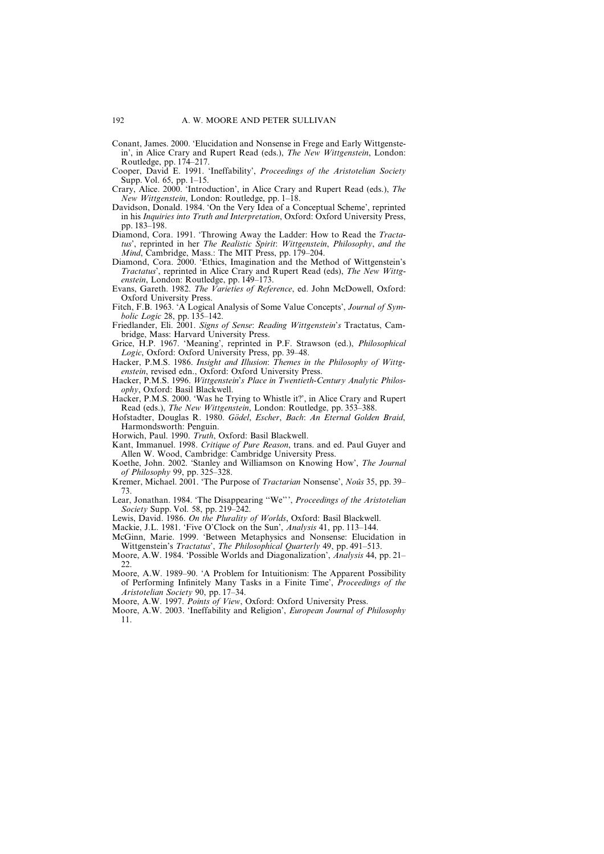- Conant, James. 2000. 'Elucidation and Nonsense in Frege and Early Wittgenstein', in Alice Crary and Rupert Read (eds.), *The New Wittgenstein*, London: Routledge, pp. 174–217.
- Cooper, David E. 1991. 'Ineffability', *Proceedings of the Aristotelian Society* Supp. Vol. 65, pp. 1–15.
- Crary, Alice. 2000. 'Introduction', in Alice Crary and Rupert Read (eds.), *The New Wittgenstein*, London: Routledge, pp. 1–18.
- Davidson, Donald. 1984. 'On the Very Idea of a Conceptual Scheme', reprinted in his *Inquiries into Truth and Interpretation*, Oxford: Oxford University Press, pp. 183–198.
- Diamond, Cora. 1991. 'Throwing Away the Ladder: How to Read the *Tractatus*', reprinted in her *The Realistic Spirit*: *Wittgenstein*, *Philosophy*, *and the Mind*, Cambridge, Mass.: The MIT Press, pp. 179–204.
- Diamond, Cora. 2000. 'Ethics, Imagination and the Method of Wittgenstein's *Tractatus*', reprinted in Alice Crary and Rupert Read (eds), *The New Wittgenstein*, London: Routledge, pp. 149–173.
- Evans, Gareth. 1982. *The Varieties of Reference*, ed. John McDowell, Oxford: Oxford University Press.
- Fitch, F.B. 1963. 'A Logical Analysis of Some Value Concepts', *Journal of Symbolic Logic* 28, pp. 135–142.
- Friedlander, Eli. 2001. *Signs of Sense*: *Reading Wittgenstein*'*s* Tractatus, Cambridge, Mass: Harvard University Press.
- Grice, H.P. 1967. 'Meaning', reprinted in P.F. Strawson (ed.), *Philosophical Logic*, Oxford: Oxford University Press, pp. 39–48.
- Hacker, P.M.S. 1986. *Insight and Illusion*: *Themes in the Philosophy of Wittgenstein*, revised edn., Oxford: Oxford University Press.
- Hacker, P.M.S. 1996. *Wittgenstein*'*s Place in Twentieth*-*Century Analytic Philosophy*, Oxford: Basil Blackwell.
- Hacker, P.M.S. 2000. 'Was he Trying to Whistle it?', in Alice Crary and Rupert Read (eds.), *The New Wittgenstein*, London: Routledge, pp. 353–388.
- Hofstadter, Douglas R. 1980. *Go¨del*, *Escher*, *Bach*: *An Eternal Golden Braid*, Harmondsworth: Penguin.
- Horwich, Paul. 1990. *Truth*, Oxford: Basil Blackwell.
- Kant, Immanuel. 1998. *Critique of Pure Reason*, trans. and ed. Paul Guyer and Allen W. Wood, Cambridge: Cambridge University Press.
- Koethe, John. 2002. 'Stanley and Williamson on Knowing How', *The Journal of Philosophy* 99, pp. 325–328.
- Kremer, Michael. 2001. 'The Purpose of *Tractarian* Nonsense', *Nouˆs* 35, pp. 39– 73.
- Lear, Jonathan. 1984. 'The Disappearing ''We''', *Proceedings of the Aristotelian Society* Supp. Vol. 58, pp. 219–242.
- Lewis, David. 1986. *On the Plurality of Worlds*, Oxford: Basil Blackwell.
- Mackie, J.L. 1981. 'Five O'Clock on the Sun', *Analysis* 41, pp. 113–144.
- McGinn, Marie. 1999. 'Between Metaphysics and Nonsense: Elucidation in Wittgenstein's *Tractatus*', *The Philosophical Quarterly* 49, pp. 491–513.
- Moore, A.W. 1984. 'Possible Worlds and Diagonalization', *Analysis* 44, pp. 21– 22.
- Moore, A.W. 1989–90. 'A Problem for Intuitionism: The Apparent Possibility of Performing Infinitely Many Tasks in a Finite Time', *Proceedings of the Aristotelian Society* 90, pp. 17–34.
- Moore, A.W. 1997. *Points of View*, Oxford: Oxford University Press.
- Moore, A.W. 2003. 'Ineffability and Religion', *European Journal of Philosophy* 11.